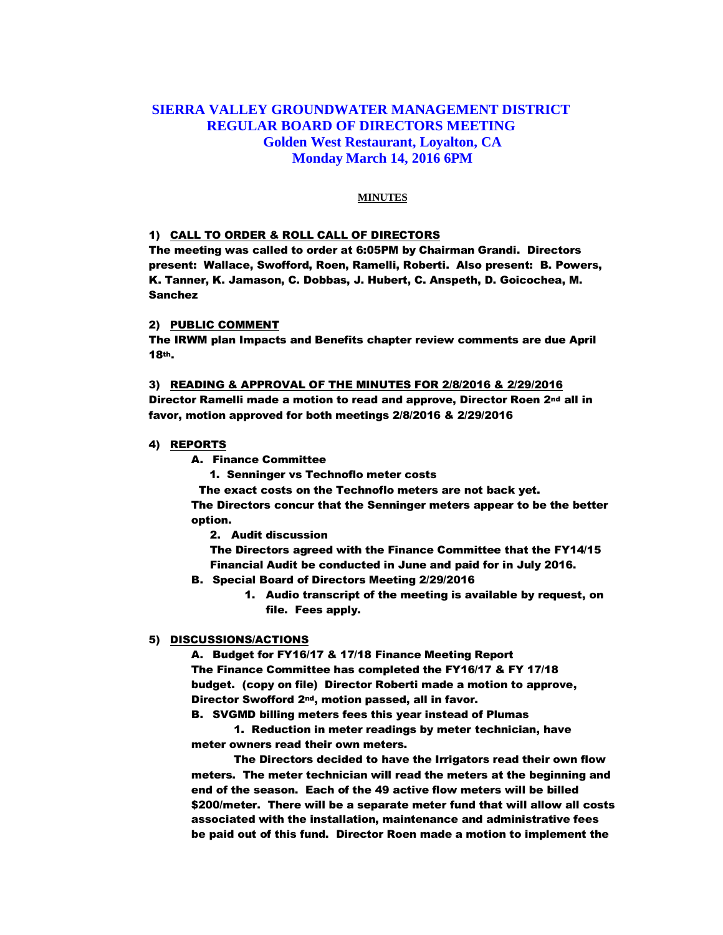# **SIERRA VALLEY GROUNDWATER MANAGEMENT DISTRICT REGULAR BOARD OF DIRECTORS MEETING Golden West Restaurant, Loyalton, CA Monday March 14, 2016 6PM**

## **MINUTES**

## 1) CALL TO ORDER & ROLL CALL OF DIRECTORS

The meeting was called to order at 6:05PM by Chairman Grandi. Directors present: Wallace, Swofford, Roen, Ramelli, Roberti. Also present: B. Powers, K. Tanner, K. Jamason, C. Dobbas, J. Hubert, C. Anspeth, D. Goicochea, M. Sanchez

## 2) PUBLIC COMMENT

The IRWM plan Impacts and Benefits chapter review comments are due April 18th.

#### 3) READING & APPROVAL OF THE MINUTES FOR 2/8/2016 & 2/29/2016

Director Ramelli made a motion to read and approve, Director Roen 2nd all in favor, motion approved for both meetings 2/8/2016 & 2/29/2016

### 4) REPORTS

A. Finance Committee

1. Senninger vs Technoflo meter costs

The exact costs on the Technoflo meters are not back yet.

The Directors concur that the Senninger meters appear to be the better option.

2. Audit discussion

The Directors agreed with the Finance Committee that the FY14/15 Financial Audit be conducted in June and paid for in July 2016.

- B. Special Board of Directors Meeting 2/29/2016
	- 1. Audio transcript of the meeting is available by request, on file. Fees apply.

## 5) DISCUSSIONS/ACTIONS

A. Budget for FY16/17 & 17/18 Finance Meeting Report The Finance Committee has completed the FY16/17 & FY 17/18 budget. (copy on file) Director Roberti made a motion to approve, Director Swofford 2nd, motion passed, all in favor.

B. SVGMD billing meters fees this year instead of Plumas

1. Reduction in meter readings by meter technician, have meter owners read their own meters.

The Directors decided to have the Irrigators read their own flow meters. The meter technician will read the meters at the beginning and end of the season. Each of the 49 active flow meters will be billed \$200/meter. There will be a separate meter fund that will allow all costs associated with the installation, maintenance and administrative fees be paid out of this fund. Director Roen made a motion to implement the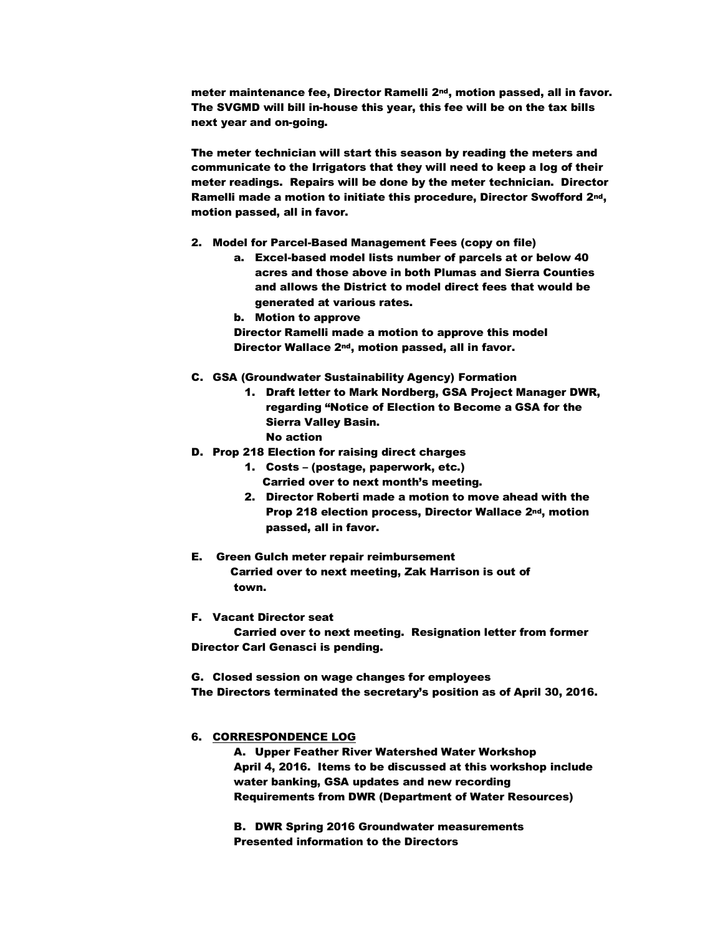meter maintenance fee, Director Ramelli 2nd, motion passed, all in favor. The SVGMD will bill in-house this year, this fee will be on the tax bills next year and on-going.

The meter technician will start this season by reading the meters and communicate to the Irrigators that they will need to keep a log of their meter readings. Repairs will be done by the meter technician. Director Ramelli made a motion to initiate this procedure, Director Swofford 2nd, motion passed, all in favor.

- 2. Model for Parcel-Based Management Fees (copy on file)
	- a. Excel-based model lists number of parcels at or below 40 acres and those above in both Plumas and Sierra Counties and allows the District to model direct fees that would be generated at various rates.
	- b. Motion to approve

Director Ramelli made a motion to approve this model Director Wallace 2nd, motion passed, all in favor.

- C. GSA (Groundwater Sustainability Agency) Formation
	- 1. Draft letter to Mark Nordberg, GSA Project Manager DWR, regarding "Notice of Election to Become a GSA for the Sierra Valley Basin. No action
- D. Prop 218 Election for raising direct charges
	- 1. Costs (postage, paperwork, etc.) Carried over to next month's meeting.
	- 2. Director Roberti made a motion to move ahead with the Prop 218 election process, Director Wallace 2nd, motion passed, all in favor.
- E. Green Gulch meter repair reimbursement Carried over to next meeting, Zak Harrison is out of town.
- F. Vacant Director seat

Carried over to next meeting. Resignation letter from former Director Carl Genasci is pending.

G. Closed session on wage changes for employees The Directors terminated the secretary's position as of April 30, 2016.

### 6. CORRESPONDENCE LOG

A. Upper Feather River Watershed Water Workshop April 4, 2016. Items to be discussed at this workshop include water banking, GSA updates and new recording Requirements from DWR (Department of Water Resources)

B. DWR Spring 2016 Groundwater measurements Presented information to the Directors